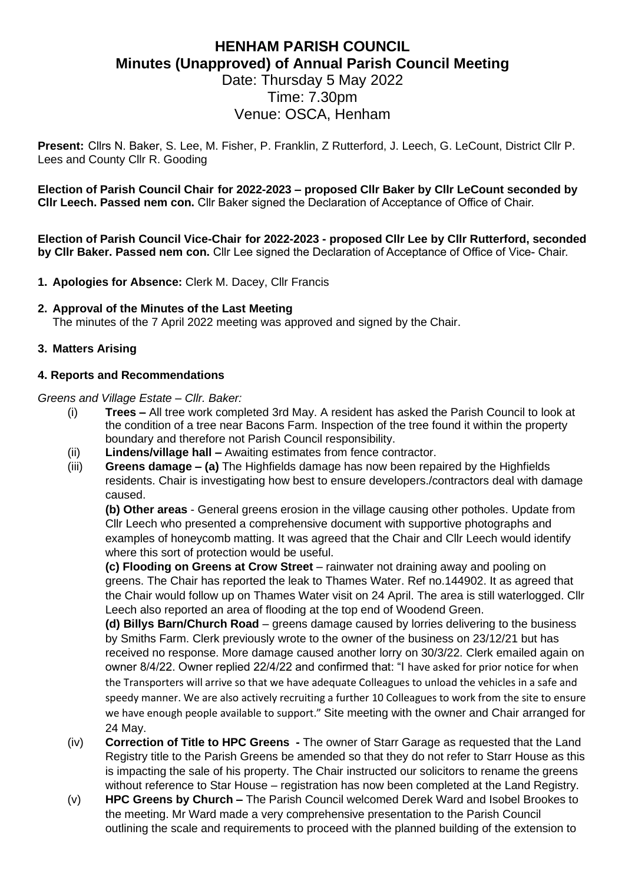# **HENHAM PARISH COUNCIL Minutes (Unapproved) of Annual Parish Council Meeting** Date: Thursday 5 May 2022

# Time: 7.30pm Venue: OSCA, Henham

**Present:** Cllrs N. Baker, S. Lee, M. Fisher, P. Franklin, Z Rutterford, J. Leech, G. LeCount, District Cllr P. Lees and County Cllr R. Gooding

**Election of Parish Council Chair for 2022-2023 – proposed Cllr Baker by Cllr LeCount seconded by Cllr Leech. Passed nem con.** Cllr Baker signed the Declaration of Acceptance of Office of Chair.

**Election of Parish Council Vice-Chair for 2022-2023 - proposed Cllr Lee by Cllr Rutterford, seconded by Cllr Baker. Passed nem con.** Cllr Lee signed the Declaration of Acceptance of Office of Vice- Chair.

**1. Apologies for Absence:** Clerk M. Dacey, Cllr Francis

#### **2. Approval of the Minutes of the Last Meeting**

The minutes of the 7 April 2022 meeting was approved and signed by the Chair.

## **3. Matters Arising**

## **4. Reports and Recommendations**

#### *Greens and Village Estate – Cllr. Baker:*

- (i) **Trees –** All tree work completed 3rd May. A resident has asked the Parish Council to look at the condition of a tree near Bacons Farm. Inspection of the tree found it within the property boundary and therefore not Parish Council responsibility.
- (ii) **Lindens/village hall –** Awaiting estimates from fence contractor.
- (iii) **Greens damage – (a)** The Highfields damage has now been repaired by the Highfields residents. Chair is investigating how best to ensure developers./contractors deal with damage caused.

**(b) Other areas** - General greens erosion in the village causing other potholes. Update from Cllr Leech who presented a comprehensive document with supportive photographs and examples of honeycomb matting. It was agreed that the Chair and Cllr Leech would identify where this sort of protection would be useful.

**(c) Flooding on Greens at Crow Street** – rainwater not draining away and pooling on greens. The Chair has reported the leak to Thames Water. Ref no.144902. It as agreed that the Chair would follow up on Thames Water visit on 24 April. The area is still waterlogged. Cllr Leech also reported an area of flooding at the top end of Woodend Green.

**(d) Billys Barn/Church Road** – greens damage caused by lorries delivering to the business by Smiths Farm. Clerk previously wrote to the owner of the business on 23/12/21 but has received no response. More damage caused another lorry on 30/3/22. Clerk emailed again on owner 8/4/22. Owner replied 22/4/22 and confirmed that: "I have asked for prior notice for when the Transporters will arrive so that we have adequate Colleagues to unload the vehicles in a safe and speedy manner. We are also actively recruiting a further 10 Colleagues to work from the site to ensure we have enough people available to support." Site meeting with the owner and Chair arranged for 24 May.

- (iv) **Correction of Title to HPC Greens -** The owner of Starr Garage as requested that the Land Registry title to the Parish Greens be amended so that they do not refer to Starr House as this is impacting the sale of his property. The Chair instructed our solicitors to rename the greens without reference to Star House – registration has now been completed at the Land Registry.
- (v) **HPC Greens by Church –** The Parish Council welcomed Derek Ward and Isobel Brookes to the meeting. Mr Ward made a very comprehensive presentation to the Parish Council outlining the scale and requirements to proceed with the planned building of the extension to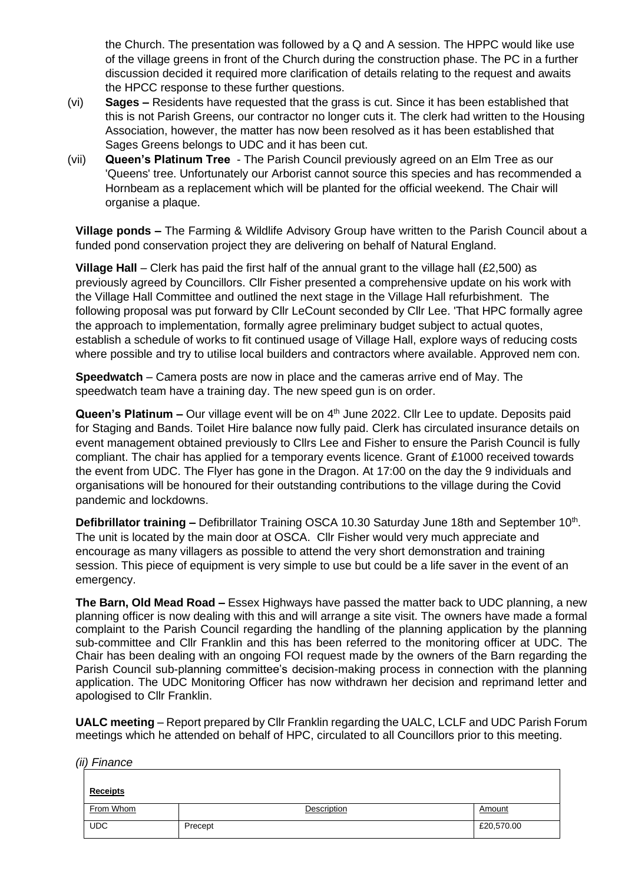the Church. The presentation was followed by a Q and A session. The HPPC would like use of the village greens in front of the Church during the construction phase. The PC in a further discussion decided it required more clarification of details relating to the request and awaits the HPCC response to these further questions.

- (vi) **Sages –** Residents have requested that the grass is cut. Since it has been established that this is not Parish Greens, our contractor no longer cuts it. The clerk had written to the Housing Association, however, the matter has now been resolved as it has been established that Sages Greens belongs to UDC and it has been cut.
- (vii) **Queen's Platinum Tree** The Parish Council previously agreed on an Elm Tree as our 'Queens' tree. Unfortunately our Arborist cannot source this species and has recommended a Hornbeam as a replacement which will be planted for the official weekend. The Chair will organise a plaque.

**Village ponds –** The Farming & Wildlife Advisory Group have written to the Parish Council about a funded pond conservation project they are delivering on behalf of Natural England.

**Village Hall** – Clerk has paid the first half of the annual grant to the village hall (£2,500) as previously agreed by Councillors. Cllr Fisher presented a comprehensive update on his work with the Village Hall Committee and outlined the next stage in the Village Hall refurbishment. The following proposal was put forward by Cllr LeCount seconded by Cllr Lee. 'That HPC formally agree the approach to implementation, formally agree preliminary budget subject to actual quotes, establish a schedule of works to fit continued usage of Village Hall, explore ways of reducing costs where possible and try to utilise local builders and contractors where available. Approved nem con.

**Speedwatch** – Camera posts are now in place and the cameras arrive end of May. The speedwatch team have a training day. The new speed gun is on order.

Queen's Platinum - Our village event will be on 4<sup>th</sup> June 2022. Cllr Lee to update. Deposits paid for Staging and Bands. Toilet Hire balance now fully paid. Clerk has circulated insurance details on event management obtained previously to Cllrs Lee and Fisher to ensure the Parish Council is fully compliant. The chair has applied for a temporary events licence. Grant of £1000 received towards the event from UDC. The Flyer has gone in the Dragon. At 17:00 on the day the 9 individuals and organisations will be honoured for their outstanding contributions to the village during the Covid pandemic and lockdowns.

Defibrillator training - Defibrillator Training OSCA 10.30 Saturday June 18th and September 10<sup>th</sup>. The unit is located by the main door at OSCA. Cllr Fisher would very much appreciate and encourage as many villagers as possible to attend the very short demonstration and training session. This piece of equipment is very simple to use but could be a life saver in the event of an emergency.

**The Barn, Old Mead Road –** Essex Highways have passed the matter back to UDC planning, a new planning officer is now dealing with this and will arrange a site visit. The owners have made a formal complaint to the Parish Council regarding the handling of the planning application by the planning sub-committee and Cllr Franklin and this has been referred to the monitoring officer at UDC. The Chair has been dealing with an ongoing FOI request made by the owners of the Barn regarding the Parish Council sub-planning committee's decision-making process in connection with the planning application. The UDC Monitoring Officer has now withdrawn her decision and reprimand letter and apologised to Cllr Franklin.

**UALC meeting** – Report prepared by Cllr Franklin regarding the UALC, LCLF and UDC Parish Forum meetings which he attended on behalf of HPC, circulated to all Councillors prior to this meeting.

**Receipts** From Whom **Description Description CONSECTED Amount** UDC Precept Recept and the set of the set of the set of the set of the set of the set of the set of the set of the set of the set of the set of the set of the set of the set of the set of the set of the set of the set of t

*(ii) Finance*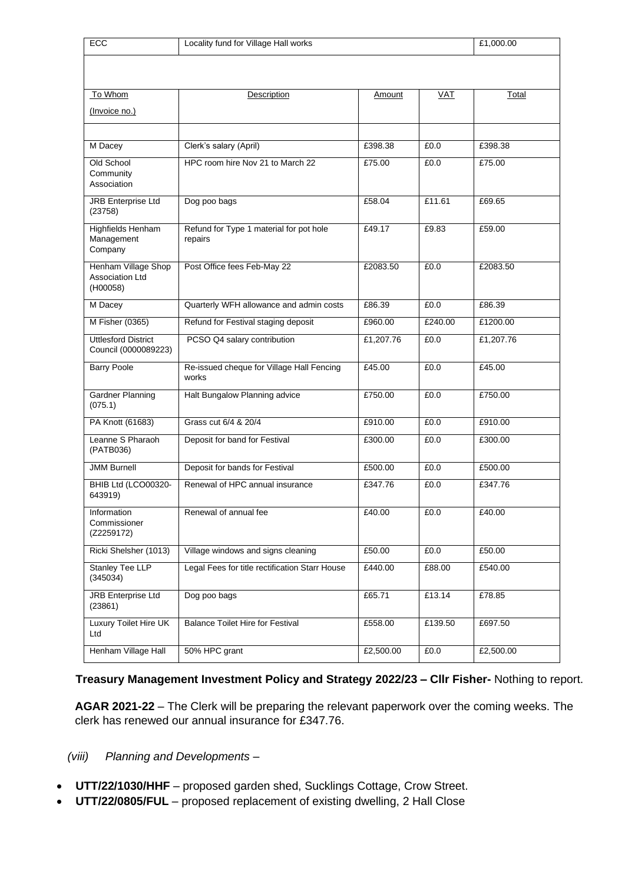| ECC                                                | Locality fund for Village Hall works               |           |            | £1,000.00 |
|----------------------------------------------------|----------------------------------------------------|-----------|------------|-----------|
|                                                    |                                                    |           |            |           |
| To Whom                                            | Description                                        | Amount    | <b>VAT</b> | Total     |
| (Invoice no.)                                      |                                                    |           |            |           |
|                                                    |                                                    |           |            |           |
| M Dacey                                            | Clerk's salary (April)                             | £398.38   | £0.0       | £398.38   |
| Old School<br>Community<br>Association             | HPC room hire Nov 21 to March 22                   | £75.00    | £0.0       | £75.00    |
| <b>JRB Enterprise Ltd</b><br>(23758)               | Dog poo bags                                       | £58.04    | £11.61     | £69.65    |
| <b>Highfields Henham</b><br>Management<br>Company  | Refund for Type 1 material for pot hole<br>repairs | £49.17    | £9.83      | £59.00    |
| Henham Village Shop<br>Association Ltd<br>(H00058) | Post Office fees Feb-May 22                        | £2083.50  | £0.0       | £2083.50  |
| M Dacey                                            | Quarterly WFH allowance and admin costs            | £86.39    | £0.0       | £86.39    |
| M Fisher (0365)                                    | Refund for Festival staging deposit                | £960.00   | £240.00    | £1200.00  |
| <b>Uttlesford District</b><br>Council (0000089223) | PCSO Q4 salary contribution                        | £1,207.76 | £0.0       | £1,207.76 |
| <b>Barry Poole</b>                                 | Re-issued cheque for Village Hall Fencing<br>works | £45.00    | £0.0       | £45.00    |
| <b>Gardner Planning</b><br>(075.1)                 | Halt Bungalow Planning advice                      | £750.00   | £0.0       | £750.00   |
| PA Knott (61683)                                   | Grass cut 6/4 & 20/4                               | £910.00   | £0.0       | £910.00   |
| Leanne S Pharaoh<br>(PATB036)                      | Deposit for band for Festival                      | £300.00   | £0.0       | £300.00   |
| <b>JMM Burnell</b>                                 | Deposit for bands for Festival                     | £500.00   | £0.0       | £500.00   |
| BHIB Ltd (LCO00320-<br>643919)                     | Renewal of HPC annual insurance                    | £347.76   | £0.0       | £347.76   |
| Information<br>Commissioner<br>(Z2259172)          | Renewal of annual fee                              | £40.00    | £0.0       | £40.00    |
| Ricki Shelsher (1013)                              | Village windows and signs cleaning                 | £50.00    | £0.0       | £50.00    |
| <b>Stanley Tee LLP</b><br>(345034)                 | Legal Fees for title rectification Starr House     | £440.00   | £88.00     | £540.00   |
| <b>JRB Enterprise Ltd</b><br>(23861)               | Dog poo bags                                       | £65.71    | £13.14     | £78.85    |
| Luxury Toilet Hire UK<br>Ltd                       | <b>Balance Toilet Hire for Festival</b>            | £558.00   | £139.50    | £697.50   |
| Henham Village Hall                                | 50% HPC grant                                      | £2,500.00 | £0.0       | £2,500.00 |

## **Treasury Management Investment Policy and Strategy 2022/23 – Cllr Fisher-** Nothing to report.

**AGAR 2021-22** – The Clerk will be preparing the relevant paperwork over the coming weeks. The clerk has renewed our annual insurance for £347.76.

## *(viii) Planning and Developments –*

- **UTT/22/1030/HHF** proposed garden shed, Sucklings Cottage, Crow Street.
- **UTT/22/0805/FUL**  proposed replacement of existing dwelling, 2 Hall Close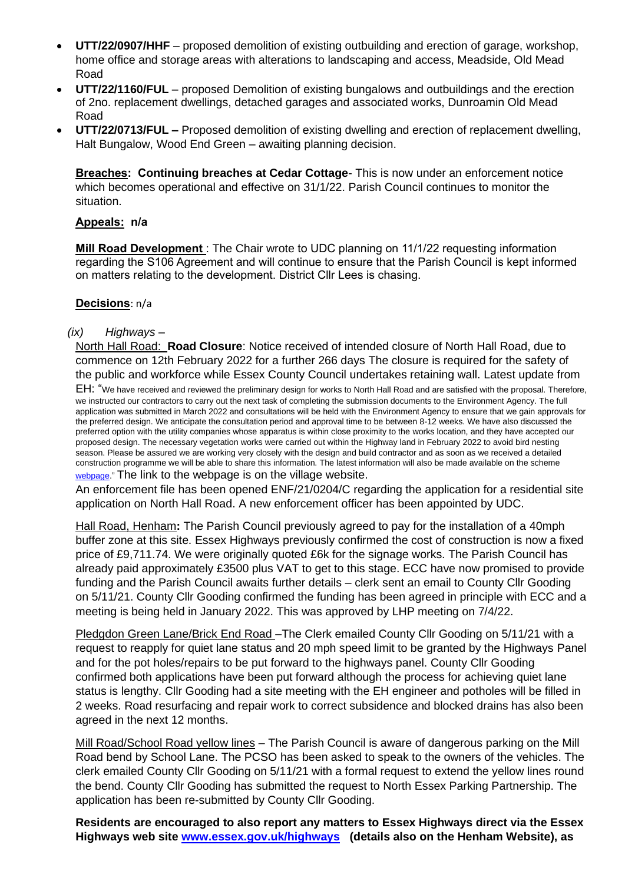- **UTT/22/0907/HHF** proposed demolition of existing outbuilding and erection of garage, workshop, home office and storage areas with alterations to landscaping and access, Meadside, Old Mead Road
- **UTT/22/1160/FUL** proposed Demolition of existing bungalows and outbuildings and the erection of 2no. replacement dwellings, detached garages and associated works, Dunroamin Old Mead Road
- **UTT/22/0713/FUL –** Proposed demolition of existing dwelling and erection of replacement dwelling, Halt Bungalow, Wood End Green – awaiting planning decision.

**Breaches: Continuing breaches at Cedar Cottage**- This is now under an enforcement notice which becomes operational and effective on 31/1/22. Parish Council continues to monitor the situation.

## **Appeals: n/a**

**Mill Road Development** : The Chair wrote to UDC planning on 11/1/22 requesting information regarding the S106 Agreement and will continue to ensure that the Parish Council is kept informed on matters relating to the development. District Cllr Lees is chasing.

#### **Decisions**: n/a

#### *(ix) Highways –*

North Hall Road: **Road Closure**: Notice received of intended closure of North Hall Road, due to commence on 12th February 2022 for a further 266 days The closure is required for the safety of the public and workforce while Essex County Council undertakes retaining wall. Latest update from

EH: "We have received and reviewed the preliminary design for works to North Hall Road and are satisfied with the proposal. Therefore, we instructed our contractors to carry out the next task of completing the submission documents to the Environment Agency. The full application was submitted in March 2022 and consultations will be held with the Environment Agency to ensure that we gain approvals for the preferred design. We anticipate the consultation period and approval time to be between 8-12 weeks. We have also discussed the preferred option with the utility companies whose apparatus is within close proximity to the works location, and they have accepted our proposed design. The necessary vegetation works were carried out within the Highway land in February 2022 to avoid bird nesting season. Please be assured we are working very closely with the design and build contractor and as soon as we received a detailed construction programme we will be able to share this information. The latest information will also be made available on the scheme [webpage."](https://www.essexhighways.org/north-hall-road-little-henham) The link to the webpage is on the village website.

An enforcement file has been opened ENF/21/0204/C regarding the application for a residential site application on North Hall Road. A new enforcement officer has been appointed by UDC.

Hall Road, Henham**:** The Parish Council previously agreed to pay for the installation of a 40mph buffer zone at this site. Essex Highways previously confirmed the cost of construction is now a fixed price of £9,711.74. We were originally quoted £6k for the signage works. The Parish Council has already paid approximately £3500 plus VAT to get to this stage. ECC have now promised to provide funding and the Parish Council awaits further details – clerk sent an email to County Cllr Gooding on 5/11/21. County Cllr Gooding confirmed the funding has been agreed in principle with ECC and a meeting is being held in January 2022. This was approved by LHP meeting on 7/4/22.

Pledgdon Green Lane/Brick End Road - The Clerk emailed County Cllr Gooding on 5/11/21 with a request to reapply for quiet lane status and 20 mph speed limit to be granted by the Highways Panel and for the pot holes/repairs to be put forward to the highways panel. County Cllr Gooding confirmed both applications have been put forward although the process for achieving quiet lane status is lengthy. Cllr Gooding had a site meeting with the EH engineer and potholes will be filled in 2 weeks. Road resurfacing and repair work to correct subsidence and blocked drains has also been agreed in the next 12 months.

Mill Road/School Road yellow lines – The Parish Council is aware of dangerous parking on the Mill Road bend by School Lane. The PCSO has been asked to speak to the owners of the vehicles. The clerk emailed County Cllr Gooding on 5/11/21 with a formal request to extend the yellow lines round the bend. County Cllr Gooding has submitted the request to North Essex Parking Partnership. The application has been re-submitted by County Cllr Gooding.

**Residents are encouraged to also report any matters to Essex Highways direct via the Essex Highways web site [www.essex.gov.uk/highways](http://www.essex.gov.uk/highways) (details also on the Henham Website), as**